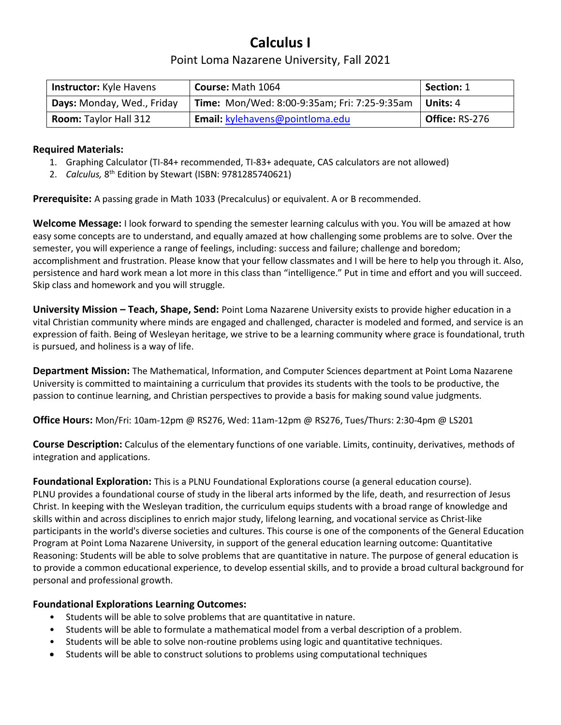## **Calculus I**

## Point Loma Nazarene University, Fall 2021

| <b>Instructor:</b> Kyle Havens | Course: Math 1064                            | Section: 1            |
|--------------------------------|----------------------------------------------|-----------------------|
| Days: Monday, Wed., Friday     | Time: Mon/Wed: 8:00-9:35am; Fri: 7:25-9:35am | Units: 4              |
| <b>Room:</b> Taylor Hall 312   | Email: kylehavens@pointloma.edu              | <b>Office: RS-276</b> |

#### **Required Materials:**

- 1. Graphing Calculator (TI-84+ recommended, TI-83+ adequate, CAS calculators are not allowed)
- 2. Calculus, 8<sup>th</sup> Edition by Stewart (ISBN: 9781285740621)

**Prerequisite:** A passing grade in Math 1033 (Precalculus) or equivalent. A or B recommended.

**Welcome Message:** I look forward to spending the semester learning calculus with you. You will be amazed at how easy some concepts are to understand, and equally amazed at how challenging some problems are to solve. Over the semester, you will experience a range of feelings, including: success and failure; challenge and boredom; accomplishment and frustration. Please know that your fellow classmates and I will be here to help you through it. Also, persistence and hard work mean a lot more in this class than "intelligence." Put in time and effort and you will succeed. Skip class and homework and you will struggle.

**University Mission – Teach, Shape, Send:** Point Loma Nazarene University exists to provide higher education in a vital Christian community where minds are engaged and challenged, character is modeled and formed, and service is an expression of faith. Being of Wesleyan heritage, we strive to be a learning community where grace is foundational, truth is pursued, and holiness is a way of life.

**Department Mission:** The Mathematical, Information, and Computer Sciences department at Point Loma Nazarene University is committed to maintaining a curriculum that provides its students with the tools to be productive, the passion to continue learning, and Christian perspectives to provide a basis for making sound value judgments.

**Office Hours:** Mon/Fri: 10am-12pm @ RS276, Wed: 11am-12pm @ RS276, Tues/Thurs: 2:30-4pm @ LS201

**Course Description:** Calculus of the elementary functions of one variable. Limits, continuity, derivatives, methods of integration and applications.

**Foundational Exploration:** This is a PLNU Foundational Explorations course (a general education course). PLNU provides a foundational course of study in the liberal arts informed by the life, death, and resurrection of Jesus Christ. In keeping with the Wesleyan tradition, the curriculum equips students with a broad range of knowledge and skills within and across disciplines to enrich major study, lifelong learning, and vocational service as Christ-like participants in the world's diverse societies and cultures. This course is one of the components of the General Education Program at Point Loma Nazarene University, in support of the general education learning outcome: Quantitative Reasoning: Students will be able to solve problems that are quantitative in nature. The purpose of general education is to provide a common educational experience, to develop essential skills, and to provide a broad cultural background for personal and professional growth.

#### **Foundational Explorations Learning Outcomes:**

- Students will be able to solve problems that are quantitative in nature.
- Students will be able to formulate a mathematical model from a verbal description of a problem.
- Students will be able to solve non-routine problems using logic and quantitative techniques.
- Students will be able to construct solutions to problems using computational techniques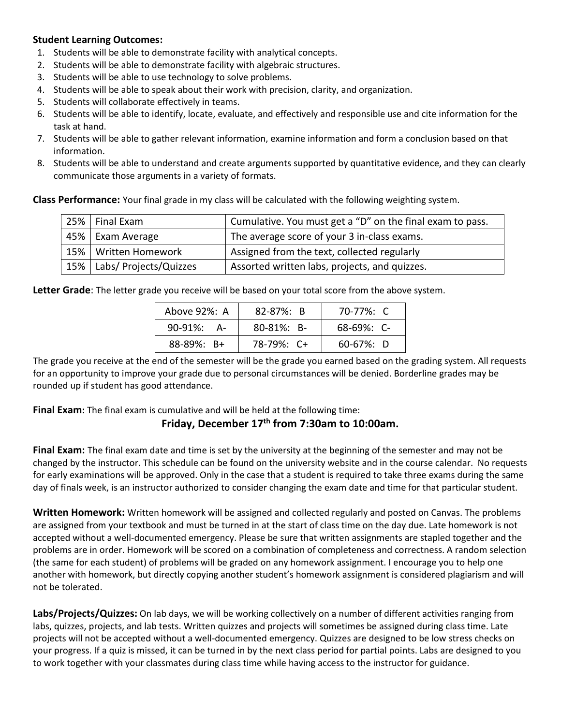#### **Student Learning Outcomes:**

- 1. Students will be able to demonstrate facility with analytical concepts.
- 2. Students will be able to demonstrate facility with algebraic structures.
- 3. Students will be able to use technology to solve problems.
- 4. Students will be able to speak about their work with precision, clarity, and organization.
- 5. Students will collaborate effectively in teams.
- 6. Students will be able to identify, locate, evaluate, and effectively and responsible use and cite information for the task at hand.
- 7. Students will be able to gather relevant information, examine information and form a conclusion based on that information.
- 8. Students will be able to understand and create arguments supported by quantitative evidence, and they can clearly communicate those arguments in a variety of formats.

**Class Performance:** Your final grade in my class will be calculated with the following weighting system.

| 25%   Final Exam             | Cumulative. You must get a "D" on the final exam to pass. |  |
|------------------------------|-----------------------------------------------------------|--|
| 45%   Exam Average           | The average score of your 3 in-class exams.               |  |
| 15%   Written Homework       | Assigned from the text, collected regularly               |  |
| 15%   Labs/ Projects/Quizzes | Assorted written labs, projects, and quizzes.             |  |

**Letter Grade**: The letter grade you receive will be based on your total score from the above system.

| Above 92%: A       | $82 - 87\%$ : B  | 70-77%: C       |
|--------------------|------------------|-----------------|
| $90 - 91\%$<br>- A | $80 - 81\%$ ; B- | $68-69\%$ : C-  |
| $88 - 89\%$ : B+   | 78-79%: C+       | $60 - 67\%$ : D |

The grade you receive at the end of the semester will be the grade you earned based on the grading system. All requests for an opportunity to improve your grade due to personal circumstances will be denied. Borderline grades may be rounded up if student has good attendance.

**Final Exam:** The final exam is cumulative and will be held at the following time:

### **Friday, December 17 th from 7:30am to 10:00am.**

**Final Exam:** The final exam date and time is set by the university at the beginning of the semester and may not be changed by the instructor. This schedule can be found on the university website and in the course calendar. No requests for early examinations will be approved. Only in the case that a student is required to take three exams during the same day of finals week, is an instructor authorized to consider changing the exam date and time for that particular student.

**Written Homework:** Written homework will be assigned and collected regularly and posted on Canvas. The problems are assigned from your textbook and must be turned in at the start of class time on the day due. Late homework is not accepted without a well-documented emergency. Please be sure that written assignments are stapled together and the problems are in order. Homework will be scored on a combination of completeness and correctness. A random selection (the same for each student) of problems will be graded on any homework assignment. I encourage you to help one another with homework, but directly copying another student's homework assignment is considered plagiarism and will not be tolerated.

**Labs/Projects/Quizzes:** On lab days, we will be working collectively on a number of different activities ranging from labs, quizzes, projects, and lab tests. Written quizzes and projects will sometimes be assigned during class time. Late projects will not be accepted without a well-documented emergency. Quizzes are designed to be low stress checks on your progress. If a quiz is missed, it can be turned in by the next class period for partial points. Labs are designed to you to work together with your classmates during class time while having access to the instructor for guidance.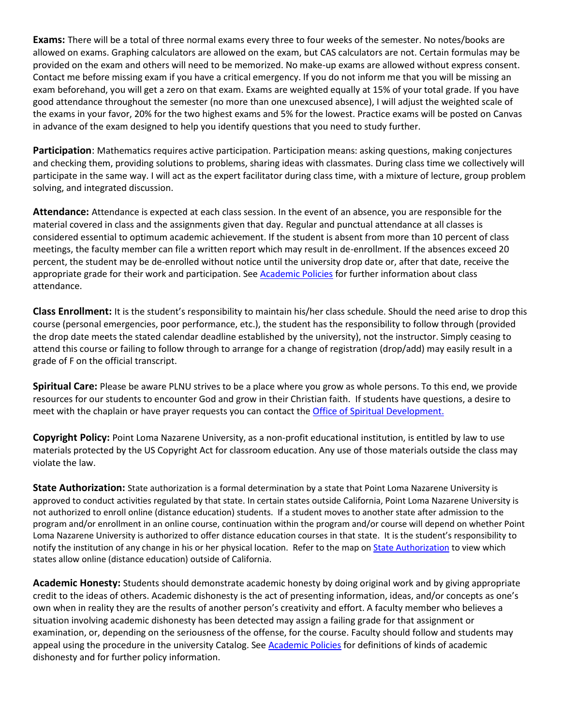**Exams:** There will be a total of three normal exams every three to four weeks of the semester. No notes/books are allowed on exams. Graphing calculators are allowed on the exam, but CAS calculators are not. Certain formulas may be provided on the exam and others will need to be memorized. No make-up exams are allowed without express consent. Contact me before missing exam if you have a critical emergency. If you do not inform me that you will be missing an exam beforehand, you will get a zero on that exam. Exams are weighted equally at 15% of your total grade. If you have good attendance throughout the semester (no more than one unexcused absence), I will adjust the weighted scale of the exams in your favor, 20% for the two highest exams and 5% for the lowest. Practice exams will be posted on Canvas in advance of the exam designed to help you identify questions that you need to study further.

**Participation**: Mathematics requires active participation. Participation means: asking questions, making conjectures and checking them, providing solutions to problems, sharing ideas with classmates. During class time we collectively will participate in the same way. I will act as the expert facilitator during class time, with a mixture of lecture, group problem solving, and integrated discussion.

**Attendance:** Attendance is expected at each class session. In the event of an absence, you are responsible for the material covered in class and the assignments given that day. Regular and punctual attendance at all classes is considered essential to optimum academic achievement. If the student is absent from more than 10 percent of class meetings, the faculty member can file a written report which may result in de-enrollment. If the absences exceed 20 percent, the student may be de-enrolled without notice until the university drop date or, after that date, receive the appropriate grade for their work and participation. See [Academic Policies](http://catalog.pointloma.edu/content.php?catoid=18&navoid=1278) for further information about class attendance.

**Class Enrollment:** It is the student's responsibility to maintain his/her class schedule. Should the need arise to drop this course (personal emergencies, poor performance, etc.), the student has the responsibility to follow through (provided the drop date meets the stated calendar deadline established by the university), not the instructor. Simply ceasing to attend this course or failing to follow through to arrange for a change of registration (drop/add) may easily result in a grade of F on the official transcript.

**Spiritual Care:** Please be aware PLNU strives to be a place where you grow as whole persons. To this end, we provide resources for our students to encounter God and grow in their Christian faith. If students have questions, a desire to meet with the chaplain or have prayer requests you can contact the [Office of Spiritual Development.](https://www.pointloma.edu/offices/spiritual-development)

**Copyright Policy:** Point Loma Nazarene University, as a non-profit educational institution, is entitled by law to use materials protected by the US Copyright Act for classroom education. Any use of those materials outside the class may violate the law.

**State Authorization:** State authorization is a formal determination by a state that Point Loma Nazarene University is approved to conduct activities regulated by that state. In certain states outside California, Point Loma Nazarene University is not authorized to enroll online (distance education) students. If a student moves to another state after admission to the program and/or enrollment in an online course, continuation within the program and/or course will depend on whether Point Loma Nazarene University is authorized to offer distance education courses in that state. It is the student's responsibility to notify the institution of any change in his or her physical location. Refer to the map on [State Authorization](https://www.pointloma.edu/offices/office-institutional-effectiveness-research/disclosures) to view which states allow online (distance education) outside of California.

**Academic Honesty:** Students should demonstrate academic honesty by doing original work and by giving appropriate credit to the ideas of others. Academic dishonesty is the act of presenting information, ideas, and/or concepts as one's own when in reality they are the results of another person's creativity and effort. A faculty member who believes a situation involving academic dishonesty has been detected may assign a failing grade for that assignment or examination, or, depending on the seriousness of the offense, for the course. Faculty should follow and students may appeal using the procedure in the university Catalog. See [Academic Policies](http://catalog.pointloma.edu/content.php?catoid=18&navoid=1278) for definitions of kinds of academic dishonesty and for further policy information.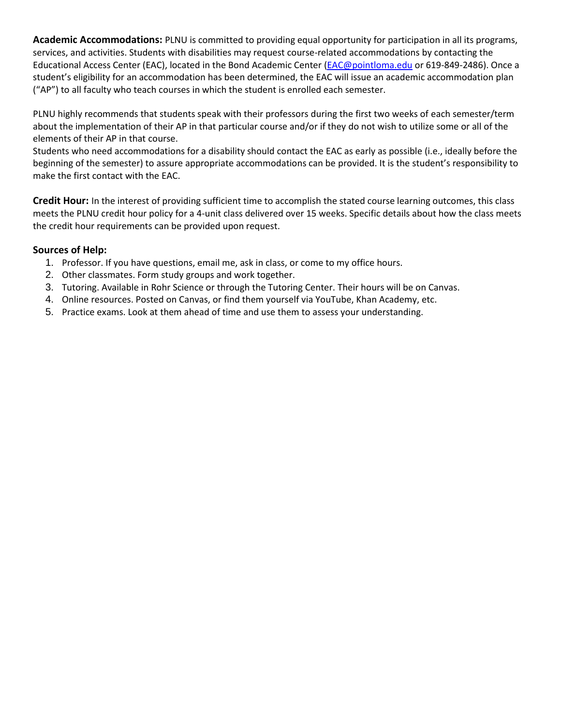**Academic Accommodations:** PLNU is committed to providing equal opportunity for participation in all its programs, services, and activities. Students with disabilities may request course-related accommodations by contacting the Educational Access Center (EAC), located in the Bond Academic Center [\(EAC@pointloma.edu](mailto:EAC@pointloma.edu) or 619-849-2486). Once a student's eligibility for an accommodation has been determined, the EAC will issue an academic accommodation plan ("AP") to all faculty who teach courses in which the student is enrolled each semester.

PLNU highly recommends that students speak with their professors during the first two weeks of each semester/term about the implementation of their AP in that particular course and/or if they do not wish to utilize some or all of the elements of their AP in that course.

Students who need accommodations for a disability should contact the EAC as early as possible (i.e., ideally before the beginning of the semester) to assure appropriate accommodations can be provided. It is the student's responsibility to make the first contact with the EAC.

**Credit Hour:** In the interest of providing sufficient time to accomplish the stated course learning outcomes, this class meets the PLNU credit hour policy for a 4-unit class delivered over 15 weeks. Specific details about how the class meets the credit hour requirements can be provided upon request.

#### **Sources of Help:**

- 1. Professor. If you have questions, email me, ask in class, or come to my office hours.
- 2. Other classmates. Form study groups and work together.
- 3. Tutoring. Available in Rohr Science or through the Tutoring Center. Their hours will be on Canvas.
- 4. Online resources. Posted on Canvas, or find them yourself via YouTube, Khan Academy, etc.
- 5. Practice exams. Look at them ahead of time and use them to assess your understanding.